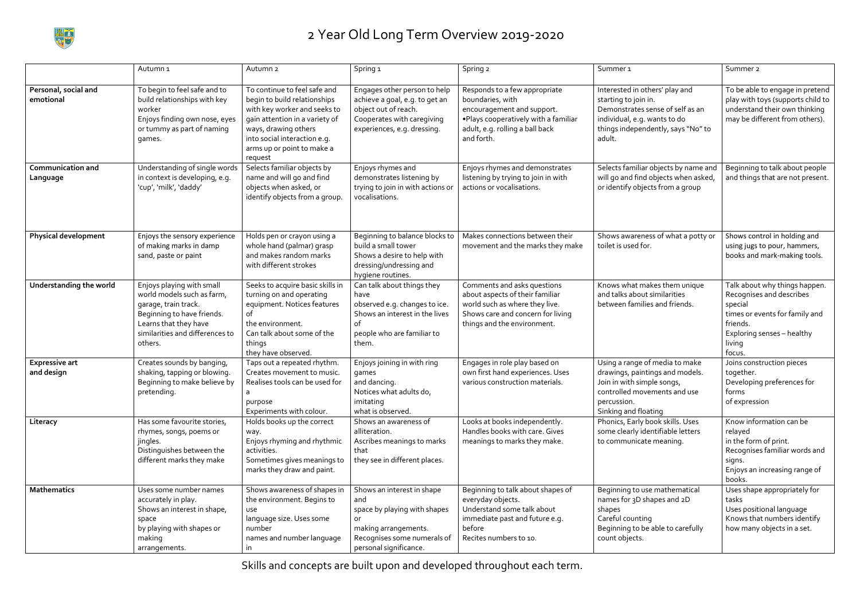

## 2 Year Old Long Term Overview 2019-2020

Skills and concepts are built upon and developed throughout each term.

|                                      | Autumn <sub>1</sub>                                                                                                                                                                  | Autumn <sub>2</sub>                                                                                                                                                                                                             | Spring <sub>1</sub>                                                                                                                                      | Spring 2                                                                                                                                                                  | Summer <sub>1</sub>                                                                                                                                                        | Summer <sub>2</sub>                                                                                                                                                  |
|--------------------------------------|--------------------------------------------------------------------------------------------------------------------------------------------------------------------------------------|---------------------------------------------------------------------------------------------------------------------------------------------------------------------------------------------------------------------------------|----------------------------------------------------------------------------------------------------------------------------------------------------------|---------------------------------------------------------------------------------------------------------------------------------------------------------------------------|----------------------------------------------------------------------------------------------------------------------------------------------------------------------------|----------------------------------------------------------------------------------------------------------------------------------------------------------------------|
| Personal, social and<br>emotional    | To begin to feel safe and to<br>build relationships with key<br>worker<br>Enjoys finding own nose, eyes<br>or tummy as part of naming<br>games.                                      | To continue to feel safe and<br>begin to build relationships<br>with key worker and seeks to<br>gain attention in a variety of<br>ways, drawing others<br>into social interaction e.g.<br>arms up or point to make a<br>request | Engages other person to help<br>achieve a goal, e.g. to get an<br>object out of reach.<br>Cooperates with caregiving<br>experiences, e.g. dressing.      | Responds to a few appropriate<br>boundaries, with<br>encouragement and support.<br>. Plays cooperatively with a familiar<br>adult, e.g. rolling a ball back<br>and forth. | Interested in others' play and<br>starting to join in.<br>Demonstrates sense of self as an<br>individual, e.g. wants to do<br>things independently, says "No" to<br>adult. | To be able to engage in pretend<br>play with toys (supports child to<br>understand their own thinking<br>may be different from others).                              |
| <b>Communication and</b><br>Language | Understanding of single words<br>in context is developing, e.g.<br>'cup', 'milk', 'daddy'                                                                                            | Selects familiar objects by<br>name and will go and find<br>objects when asked, or<br>identify objects from a group.                                                                                                            | Enjoys rhymes and<br>demonstrates listening by<br>trying to join in with actions or<br>vocalisations.                                                    | Enjoys rhymes and demonstrates<br>listening by trying to join in with<br>actions or vocalisations.                                                                        | Selects familiar objects by name and<br>will go and find objects when asked,<br>or identify objects from a group                                                           | Beginning to talk about people<br>and things that are not present.                                                                                                   |
| <b>Physical development</b>          | Enjoys the sensory experience<br>of making marks in damp<br>sand, paste or paint                                                                                                     | Holds pen or crayon using a<br>whole hand (palmar) grasp<br>and makes random marks<br>with different strokes                                                                                                                    | Beginning to balance blocks to<br>build a small tower<br>Shows a desire to help with<br>dressing/undressing and<br>hygiene routines.                     | Makes connections between their<br>movement and the marks they make                                                                                                       | Shows awareness of what a potty or<br>toilet is used for.                                                                                                                  | Shows control in holding and<br>using jugs to pour, hammers,<br>books and mark-making tools.                                                                         |
| Understanding the world              | Enjoys playing with small<br>world models such as farm,<br>garage, train track.<br>Beginning to have friends.<br>Learns that they have<br>similarities and differences to<br>others. | Seeks to acquire basic skills in<br>turning on and operating<br>equipment. Notices features<br>of<br>the environment.<br>Can talk about some of the<br>things<br>they have observed.                                            | Can talk about things they<br>have<br>observed e.g. changes to ice.<br>Shows an interest in the lives<br>of<br>people who are familiar to<br>them.       | Comments and asks questions<br>about aspects of their familiar<br>world such as where they live.<br>Shows care and concern for living<br>things and the environment.      | Knows what makes them unique<br>and talks about similarities<br>between families and friends.                                                                              | Talk about why things happen.<br>Recognises and describes<br>special<br>times or events for family and<br>friends.<br>Exploring senses - healthy<br>living<br>focus. |
| <b>Expressive art</b><br>and design  | Creates sounds by banging,<br>shaking, tapping or blowing.<br>Beginning to make believe by<br>pretending.                                                                            | Taps out a repeated rhythm.<br>Creates movement to music.<br>Realises tools can be used for<br>purpose<br>Experiments with colour.                                                                                              | Enjoys joining in with ring<br>games<br>and dancing.<br>Notices what adults do,<br>imitating<br>what is observed.                                        | Engages in role play based on<br>own first hand experiences. Uses<br>various construction materials.                                                                      | Using a range of media to make<br>drawings, paintings and models.<br>Join in with simple songs,<br>controlled movements and use<br>percussion.<br>Sinking and floating     | Joins construction pieces<br>together.<br>Developing preferences for<br>forms<br>of expression                                                                       |
| Literacy                             | Has some favourite stories,<br>rhymes, songs, poems or<br>jingles.<br>Distinguishes between the<br>different marks they make                                                         | Holds books up the correct<br>way.<br>Enjoys rhyming and rhythmic<br>activities.<br>Sometimes gives meanings to<br>marks they draw and paint.                                                                                   | Shows an awareness of<br>alliteration.<br>Ascribes meanings to marks<br>that<br>they see in different places.                                            | Looks at books independently.<br>Handles books with care. Gives<br>meanings to marks they make.                                                                           | Phonics, Early book skills. Uses<br>some clearly identifiable letters<br>to communicate meaning.                                                                           | Know information can be<br>relayed<br>in the form of print.<br>Recognises familiar words and<br>signs.<br>Enjoys an increasing range of<br>books.                    |
| <b>Mathematics</b>                   | Uses some number names<br>accurately in play.<br>Shows an interest in shape,<br>space<br>by playing with shapes or<br>making<br>arrangements.                                        | Shows awareness of shapes in<br>the environment. Begins to<br><b>use</b><br>language size. Uses some<br>number<br>names and number language<br>ın                                                                               | Shows an interest in shape<br>and<br>space by playing with shapes<br>or<br>making arrangements.<br>Recognises some numerals of<br>personal significance. | Beginning to talk about shapes of<br>everyday objects.<br>Understand some talk about<br>immediate past and future e.g.<br>before<br>Recites numbers to 10.                | Beginning to use mathematical<br>names for 3D shapes and 2D<br>shapes<br>Careful counting<br>Beginning to be able to carefully<br>count objects.                           | Uses shape appropriately for<br>tasks<br>Uses positional language<br>Knows that numbers identify<br>how many objects in a set.                                       |